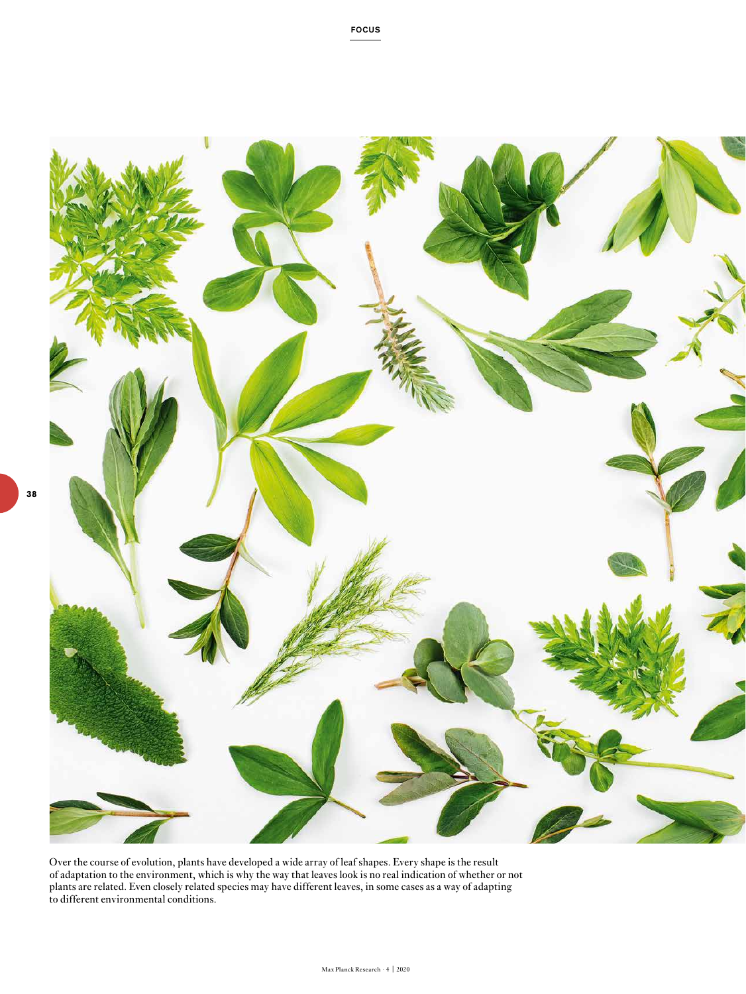

FOCUS

Over the course of evolution, plants have developed a wide array of leaf shapes. Every shape is the result of adaptation to the environment, which is why the way that leaves look is no real indication of whether or not plants are related. Even closely related species may have different leaves, in some cases as a way of adapting to different environmental conditions.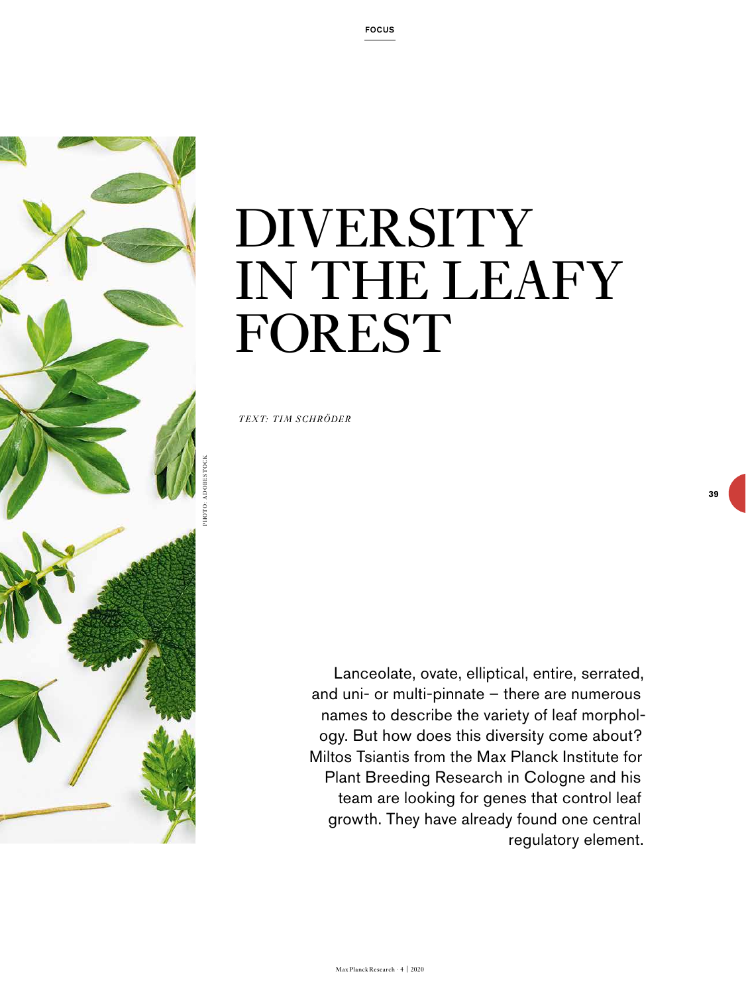

## DIVERSITY IN THE LEAFY FOREST

*TEXT: TIM SCHRÖDER* 

Lanceolate, ovate, elliptical, entire, serrated, and uni- or multi-pinnate – there are numerous names to describe the variety of leaf morphology. But how does this diversity come about? Miltos Tsiantis from the Max Planck Institute for Plant Breeding Research in Cologne and his team are looking for genes that control leaf growth. They have already found one central regulatory element.

**39**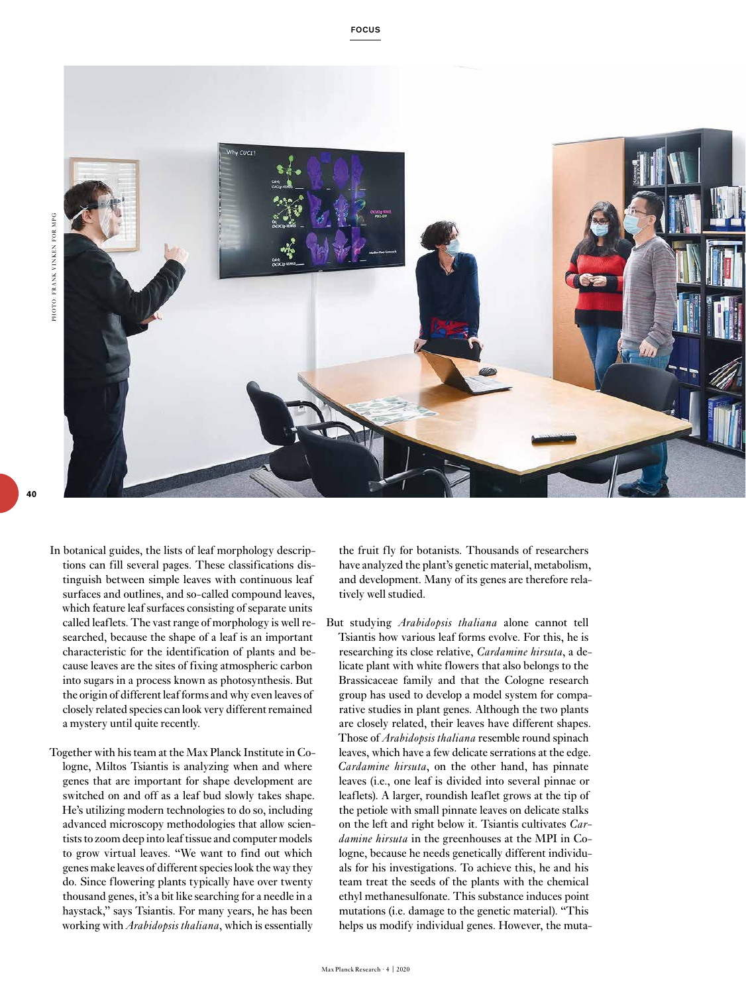**40**



- In botanical guides, the lists of leaf morphology descriptions can fill several pages. These classifications distinguish between simple leaves with continuous leaf surfaces and outlines, and so-called compound leaves, which feature leaf surfaces consisting of separate units called leaflets. The vast range of morphology is well researched, because the shape of a leaf is an important characteristic for the identification of plants and because leaves are the sites of fixing atmospheric carbon into sugars in a process known as photosynthesis. But the origin of different leaf forms and why even leaves of closely related species can look very different remained a mystery until quite recently.
- Together with his team at the Max Planck Institute in Cologne, Miltos Tsiantis is analyzing when and where genes that are important for shape development are switched on and off as a leaf bud slowly takes shape. He's utilizing modern technologies to do so, including advanced microscopy methodologies that allow scientists to zoom deep into leaf tissue and computer models to grow virtual leaves. "We want to find out which genes make leaves of different species look the way they do. Since flowering plants typically have over twenty thousand genes, it's a bit like searching for a needle in a haystack," says Tsiantis. For many years, he has been working with *Arabidopsis thaliana*, which is essentially

the fruit fly for botanists. Thousands of researchers have analyzed the plant's genetic material, metabolism, and development. Many of its genes are therefore relatively well studied.

But studying *Arabidopsis thaliana* alone cannot tell Tsiantis how various leaf forms evolve. For this, he is researching its close relative, *Cardamine hirsuta*, a delicate plant with white flowers that also belongs to the Brassicaceae family and that the Cologne research group has used to develop a model system for comparative studies in plant genes. Although the two plants are closely related, their leaves have different shapes. Those of *Arabidopsis thaliana* resemble round spinach leaves, which have a few delicate serrations at the edge. *Cardamine hirsuta*, on the other hand, has pinnate leaves (i.e., one leaf is divided into several pinnae or leaflets). A larger, roundish leaflet grows at the tip of the petiole with small pinnate leaves on delicate stalks on the left and right below it. Tsiantis cultivates *Cardamine hirsuta* in the greenhouses at the MPI in Cologne, because he needs genetically different individuals for his investigations. To achieve this, he and his team treat the seeds of the plants with the chemical ethyl methanesulfonate. This substance induces point mutations (i.e. damage to the genetic material). "This helps us modify individual genes. However, the muta-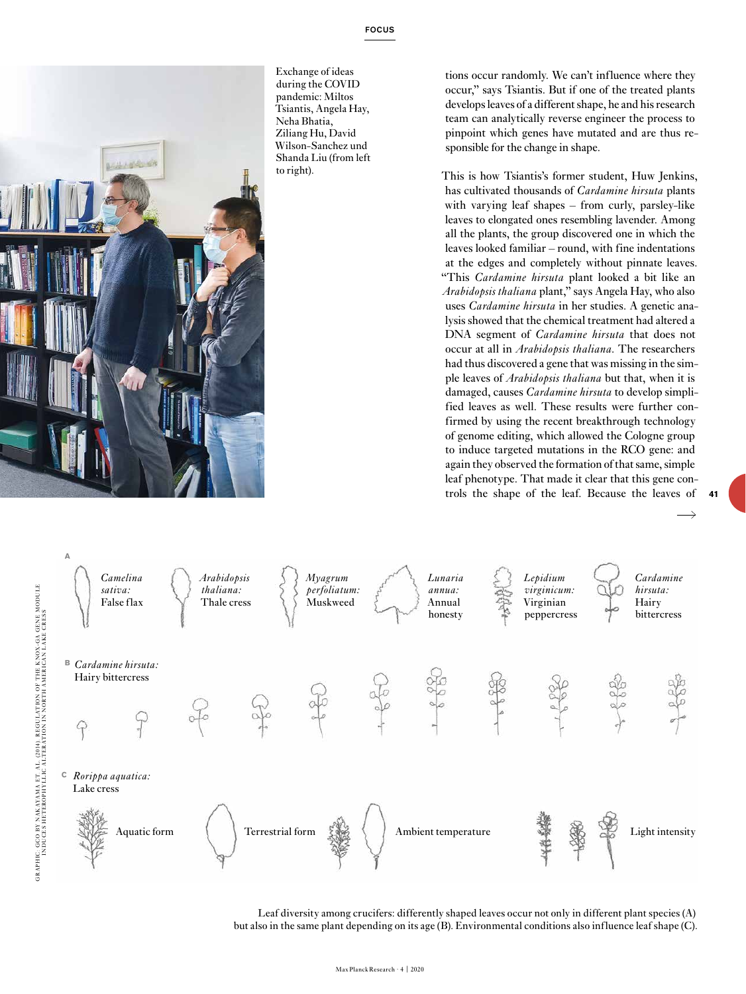

Exchange of ideas during the COVID pandemic: Miltos Tsiantis, Angela Hay, Neha Bhatia, Ziliang Hu, David Wilson-Sanchez und Shanda Liu (from left to right).

tions occur randomly. We can't influence where they occur," says Tsiantis. But if one of the treated plants develops leaves of a different shape, he and his research team can analytically reverse engineer the process to pinpoint which genes have mutated and are thus responsible for the change in shape.

This is how Tsiantis's former student, Huw Jenkins, has cultivated thousands of *Cardamine hirsuta* plants with varying leaf shapes – from curly, parsley-like leaves to elongated ones resembling lavender. Among all the plants, the group discovered one in which the leaves looked familiar – round, with fine indentations at the edges and completely without pinnate leaves. "This *Cardamine hirsuta* plant looked a bit like an *Arabidopsis thaliana* plant," says Angela Hay, who also uses *Cardamine hirsuta* in her studies. A genetic analysis showed that the chemical treatment had altered a DNA segment of *Cardamine hirsuta* that does not occur at all in *Arabidopsis thaliana*. The researchers had thus discovered a gene that was missing in the simple leaves of *Arabidopsis thaliana* but that, when it is damaged, causes *Cardamine hirsuta* to develop simplified leaves as well. These results were further confirmed by using the recent breakthrough technology of genome editing, which allowed the Cologne group to induce targeted mutations in the RCO gene: and again they observed the formation of that same, simple leaf phenotype. That made it clear that this gene controls the shape of the leaf. Because the leaves of



Leaf diversity among crucifers: differently shaped leaves occur not only in different plant species (A) but also in the same plant depending on its age (B). Environmental conditions also influence leaf shape (C).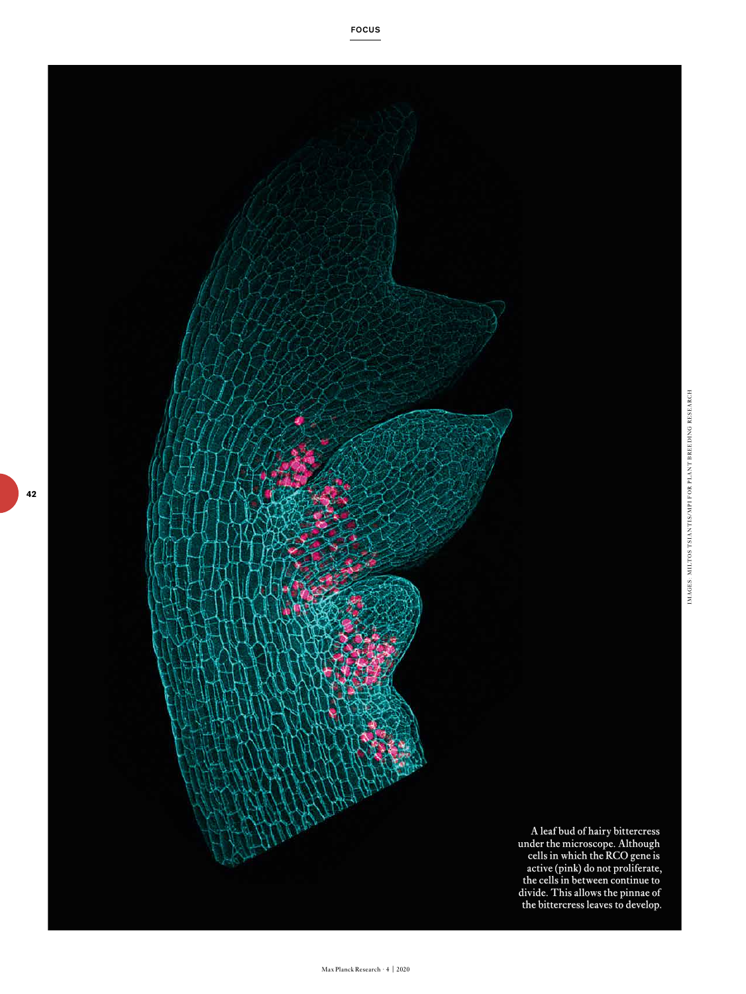

Max Planck Research · 4 | 2020

**42**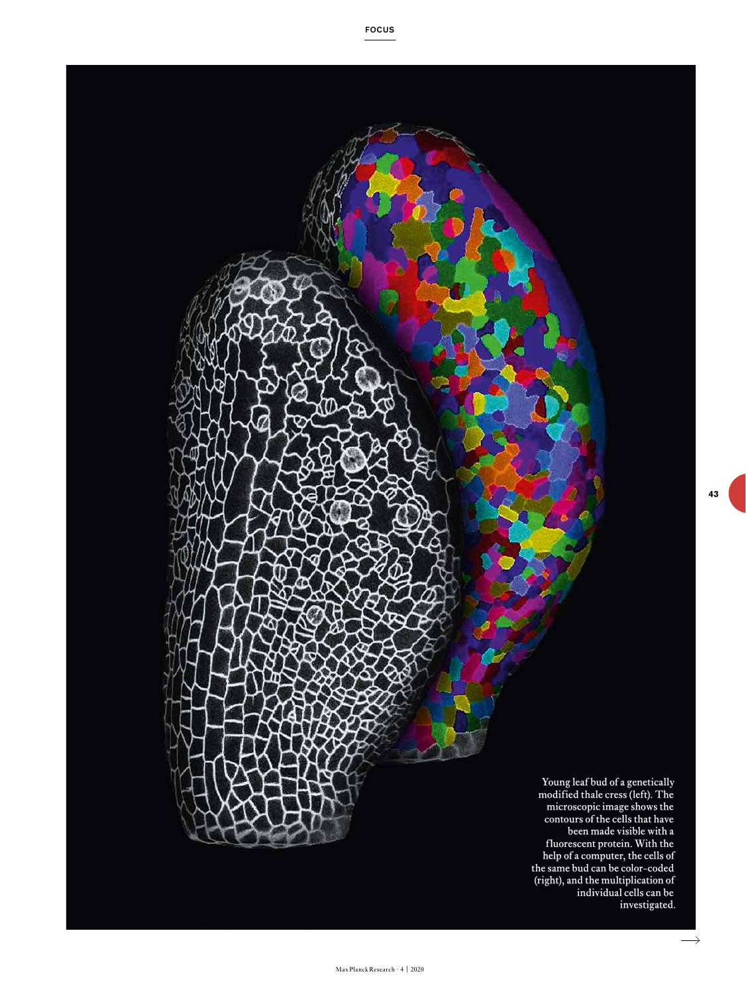Young leaf bud of a genetically modified thale cress (left). The microscopic image shows the contours of the cells that have been made visible with a fluorescent protein. With the help of a computer, the cells of the same bud can be color-coded (right), and the multiplication of individual cells can be investigated.

 $\longrightarrow$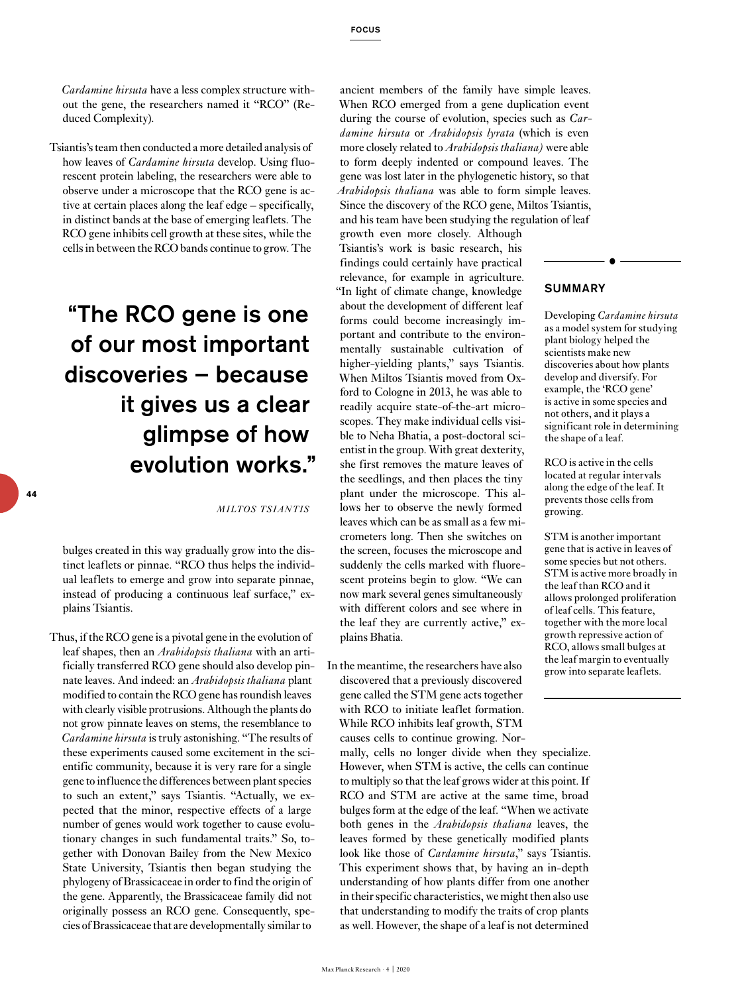*Cardamine hirsuta* have a less complex structure without the gene, the researchers named it "RCO" (Reduced Complexity).

Tsiantis's team then conducted a more detailed analysis of how leaves of *Cardamine hirsuta* develop. Using fluorescent protein labeling, the researchers were able to observe under a microscope that the RCO gene is active at certain places along the leaf edge – specifically, in distinct bands at the base of emerging leaflets. The RCO gene inhibits cell growth at these sites, while the cells in between the RCO bands continue to grow. The

## "The RCO gene is one of our most important discoveries – because it gives us a clear glimpse of how evolution works."

*MILTOS TSIANTIS*

bulges created in this way gradually grow into the distinct leaflets or pinnae. "RCO thus helps the individual leaflets to emerge and grow into separate pinnae, instead of producing a continuous leaf surface," explains Tsiantis.

Thus, if the RCO gene is a pivotal gene in the evolution of leaf shapes, then an *Arabidopsis thaliana* with an artificially transferred RCO gene should also develop pinnate leaves. And indeed: an *Arabidopsis thaliana* plant modified to contain the RCO gene has roundish leaves with clearly visible protrusions. Although the plants do not grow pinnate leaves on stems, the resemblance to *Cardamine hirsuta* is truly astonishing. "The results of these experiments caused some excitement in the scientific community, because it is very rare for a single gene to influence the differences between plant species to such an extent," says Tsiantis. "Actually, we expected that the minor, respective effects of a large number of genes would work together to cause evolutionary changes in such fundamental traits." So, together with Donovan Bailey from the New Mexico State University, Tsiantis then began studying the phylogeny of Brassicaceae in order to find the origin of the gene. Apparently, the Brassicaceae family did not originally possess an RCO gene. Consequently, species of Brassicaceae that are developmentally similar to

ancient members of the family have simple leaves. When RCO emerged from a gene duplication event during the course of evolution, species such as *Cardamine hirsuta* or *Arabidopsis lyrata* (which is even more closely related to *Arabidopsis thaliana)* were able to form deeply indented or compound leaves. The gene was lost later in the phylogenetic history, so that *Arabidopsis thaliana* was able to form simple leaves. Since the discovery of the RCO gene, Miltos Tsiantis, and his team have been studying the regulation of leaf

growth even more closely. Although Tsiantis's work is basic research, his findings could certainly have practical relevance, for example in agriculture. "In light of climate change, knowledge about the development of different leaf forms could become increasingly important and contribute to the environmentally sustainable cultivation of higher-yielding plants," says Tsiantis. When Miltos Tsiantis moved from Oxford to Cologne in 2013, he was able to readily acquire state-of-the-art microscopes. They make individual cells visible to Neha Bhatia, a post-doctoral scientist in the group. With great dexterity, she first removes the mature leaves of the seedlings, and then places the tiny plant under the microscope. This allows her to observe the newly formed leaves which can be as small as a few micrometers long. Then she switches on the screen, focuses the microscope and suddenly the cells marked with fluorescent proteins begin to glow. "We can now mark several genes simultaneously with different colors and see where in the leaf they are currently active," explains Bhatia.

In the meantime, the researchers have also discovered that a previously discovered gene called the STM gene acts together with RCO to initiate leaflet formation. While RCO inhibits leaf growth, STM causes cells to continue growing. Nor-

mally, cells no longer divide when they specialize. However, when STM is active, the cells can continue to multiply so that the leaf grows wider at this point. If RCO and STM are active at the same time, broad bulges form at the edge of the leaf. "When we activate both genes in the *Arabidopsis thaliana* leaves, the leaves formed by these genetically modified plants look like those of *Cardamine hirsuta*," says Tsiantis. This experiment shows that, by having an in-depth understanding of how plants differ from one another in their specific characteristics, we might then also use that understanding to modify the traits of crop plants as well. However, the shape of a leaf is not determined

## SUMMARY

Developing *Cardamine hirsuta* as a model system for studying plant biology helped the scientists make new discoveries about how plants develop and diversify. For example, the 'RCO gene' is active in some species and not others, and it plays a significant role in determining the shape of a leaf.

RCO is active in the cells located at regular intervals along the edge of the leaf. It prevents those cells from growing.

STM is another important gene that is active in leaves of some species but not others. STM is active more broadly in the leaf than RCO and it allows prolonged proliferation of leaf cells. This feature, together with the more local growth repressive action of RCO, allows small bulges at the leaf margin to eventually grow into separate leaflets.